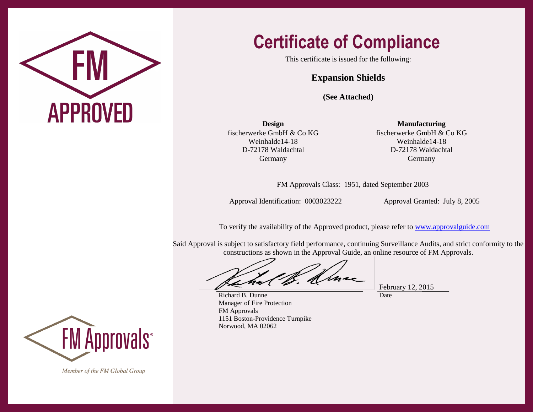

## **Certificate of Compliance**

This certificate is issued for the following:

## **Expansion Shields**

**(See Attached)**

fischerwerke GmbH & Co KG Weinhalde14-18 D-72178 Waldachtal Germany

**Design Manufacturing** fischerwerke GmbH & Co KG Weinhalde14-18 D-72178 Waldachtal Germany

FM Approvals Class: 1951, dated September 2003

Approval Identification: 0003023222 Approval Granted: July 8, 2005

To verify the availability of the Approved product, please refer to [www.approvalguide.com](http://www.approvalguide.com/)

Said Approval is subject to satisfactory field performance, continuing Surveillance Audits, and strict conformity to the constructions as shown in the Approval Guide, an online resource of FM Approvals.

February 12, 2015 Date

Richard B. Dunne Manager of Fire Protection FM Approvals 1151 Boston-Providence Turnpike Norwood, MA 02062

**FM Approvals**<sup>®</sup>

Member of the FM Global Group